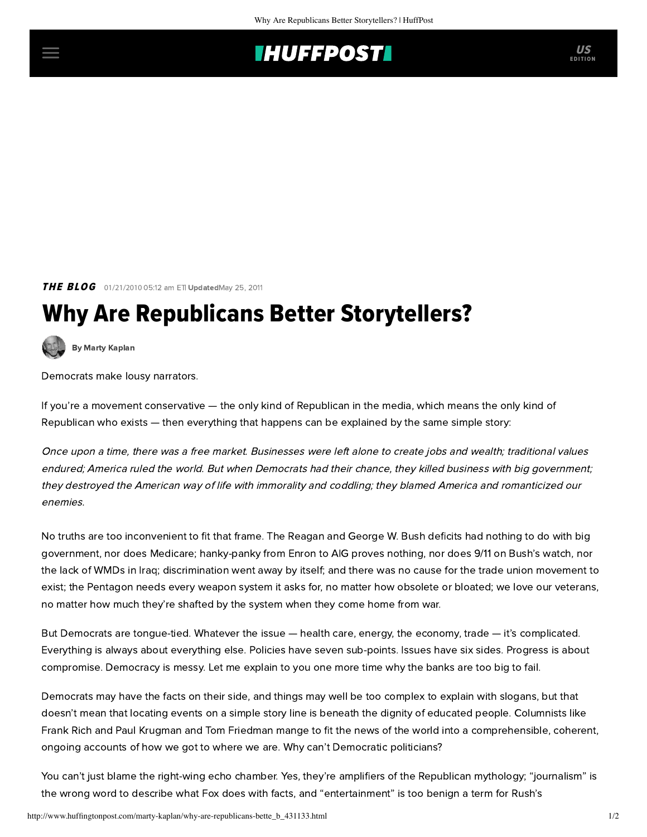## **INUFFPOSTI** US

**THE BLOG** 01/21/2010 05:12 am ETI UpdatedMay 25, 2011

## Why Are Republicans Better Storytellers?

Democrats make lousy narrators.

[By Marty Kaplan](http://www.huffingtonpost.com/author/marty-kaplan)

If you're a movement conservative — the only kind of Republican in the media, which means the only kind of Republican who exists — then everything that happens can be explained by the same simple story:

Once upon a time, there was a free market. Businesses were left alone to create jobs and wealth; traditional values endured; America ruled the world. But when Democrats had their chance, they killed business with big government; they destroyed the American way of life with immorality and coddling; they blamed America and romanticized our enemies.

No truths are too inconvenient to fit that frame. The Reagan and George W. Bush deficits had nothing to do with big government, nor does Medicare; hanky-panky from Enron to AIG proves nothing, nor does 9/11 on Bush's watch, nor the lack of WMDs in Iraq; discrimination went away by itself; and there was no cause for the trade union movement to exist; the Pentagon needs every weapon system it asks for, no matter how obsolete or bloated; we love our veterans, no matter how much they're shafted by the system when they come home from war.

But Democrats are tongue-tied. Whatever the issue — health care, energy, the economy, trade — it's complicated. Everything is always about everything else. Policies have seven sub-points. Issues have six sides. Progress is about compromise. Democracy is messy. Let me explain to you one more time why the banks are too big to fail.

Democrats may have the facts on their side, and things may well be too complex to explain with slogans, but that doesn't mean that locating events on a simple story line is beneath the dignity of educated people. Columnists like Frank Rich and Paul Krugman and Tom Friedman mange to fit the news of the world into a comprehensible, coherent, ongoing accounts of how we got to where we are. Why can't Democratic politicians?

You can't just blame the right-wing echo chamber. Yes, they're amplifiers of the Republican mythology; "journalism" is the wrong word to describe what Fox does with facts, and "entertainment" is too benign a term for Rush's